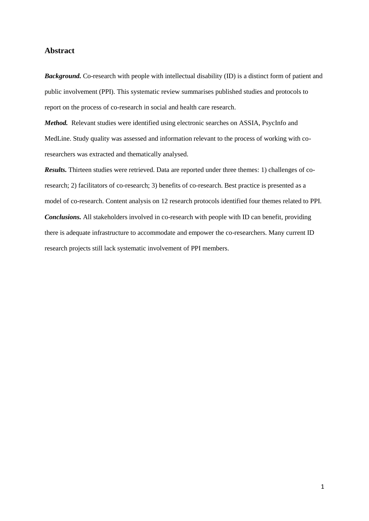# **Abstract**

*Background.* Co-research with people with intellectual disability (ID) is a distinct form of patient and public involvement (PPI). This systematic review summarises published studies and protocols to report on the process of co-research in social and health care research.

*Method.* Relevant studies were identified using electronic searches on ASSIA, PsycInfo and MedLine. Study quality was assessed and information relevant to the process of working with coresearchers was extracted and thematically analysed.

*Results.* Thirteen studies were retrieved. Data are reported under three themes: 1) challenges of coresearch; 2) facilitators of co-research; 3) benefits of co-research. Best practice is presented as a model of co-research. Content analysis on 12 research protocols identified four themes related to PPI. *Conclusions.* All stakeholders involved in co-research with people with ID can benefit, providing there is adequate infrastructure to accommodate and empower the co-researchers. Many current ID research projects still lack systematic involvement of PPI members.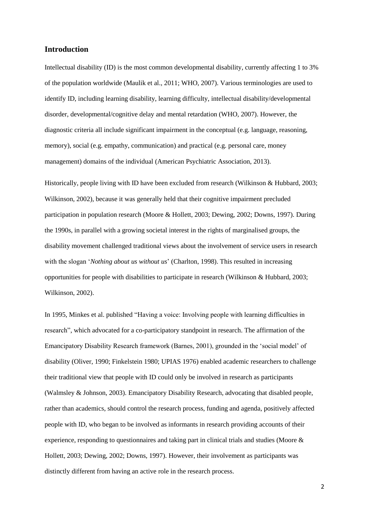# **Introduction**

Intellectual disability (ID) is the most common developmental disability, currently affecting 1 to 3% of the population worldwide (Maulik et al., 2011; WHO, 2007). Various terminologies are used to identify ID, including learning disability, learning difficulty, intellectual disability/developmental disorder, developmental/cognitive delay and mental retardation (WHO, 2007). However, the diagnostic criteria all include significant impairment in the conceptual (e.g. language, reasoning, memory), social (e.g. empathy, communication) and practical (e.g. personal care, money management) domains of the individual (American Psychiatric Association, 2013).

Historically, people living with ID have been excluded from research (Wilkinson & Hubbard, 2003; Wilkinson, 2002), because it was generally held that their cognitive impairment precluded participation in population research (Moore & Hollett, 2003; Dewing, 2002; Downs, 1997). During the 1990s, in parallel with a growing societal interest in the rights of marginalised groups, the disability movement challenged traditional views about the involvement of service users in research with the slogan '*Nothing about us without us*' (Charlton, 1998). This resulted in increasing opportunities for people with disabilities to participate in research (Wilkinson & Hubbard, 2003; Wilkinson, 2002).

In 1995, Minkes et al. published "Having a voice: Involving people with learning difficulties in research", which advocated for a co-participatory standpoint in research. The affirmation of the Emancipatory Disability Research framework (Barnes, 2001), grounded in the 'social model' of disability (Oliver, 1990; Finkelstein 1980; UPIAS 1976) enabled academic researchers to challenge their traditional view that people with ID could only be involved in research as participants (Walmsley & Johnson, 2003). Emancipatory Disability Research, advocating that disabled people, rather than academics, should control the research process, funding and agenda, positively affected people with ID, who began to be involved as informants in research providing accounts of their experience, responding to questionnaires and taking part in clinical trials and studies (Moore & Hollett, 2003; Dewing, 2002; Downs, 1997). However, their involvement as participants was distinctly different from having an active role in the research process.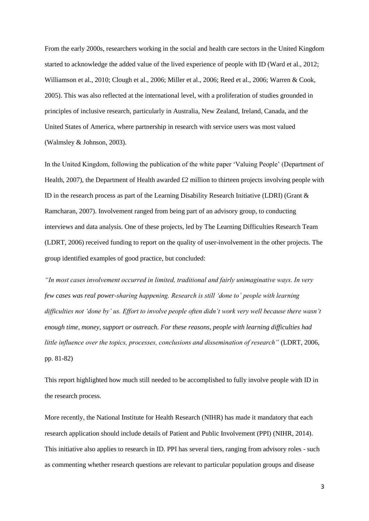From the early 2000s, researchers working in the social and health care sectors in the United Kingdom started to acknowledge the added value of the lived experience of people with ID (Ward et al., 2012; Williamson et al., 2010; Clough et al., 2006; Miller et al., 2006; Reed et al., 2006; Warren & Cook, 2005). This was also reflected at the international level, with a proliferation of studies grounded in principles of inclusive research, particularly in Australia, New Zealand, Ireland, Canada, and the United States of America, where partnership in research with service users was most valued (Walmsley & Johnson, 2003).

In the United Kingdom, following the publication of the white paper 'Valuing People' (Department of Health, 2007), the Department of Health awarded £2 million to thirteen projects involving people with ID in the research process as part of the Learning Disability Research Initiative (LDRI) (Grant & Ramcharan, 2007). Involvement ranged from being part of an advisory group, to conducting interviews and data analysis. One of these projects, led by The Learning Difficulties Research Team (LDRT, 2006) received funding to report on the quality of user-involvement in the other projects. The group identified examples of good practice, but concluded:

*"In most cases involvement occurred in limited, traditional and fairly unimaginative ways. In very few cases was real power-sharing happening. Research is still 'done to' people with learning difficulties not 'done by' us. Effort to involve people often didn't work very well because there wasn't enough time, money, support or outreach. For these reasons, people with learning difficulties had little influence over the topics, processes, conclusions and dissemination of research"* (LDRT, 2006, pp. 81-82)

This report highlighted how much still needed to be accomplished to fully involve people with ID in the research process.

More recently, the National Institute for Health Research (NIHR) has made it mandatory that each research application should include details of Patient and Public Involvement (PPI) (NIHR, 2014). This initiative also applies to research in ID. PPI has several tiers, ranging from advisory roles - such as commenting whether research questions are relevant to particular population groups and disease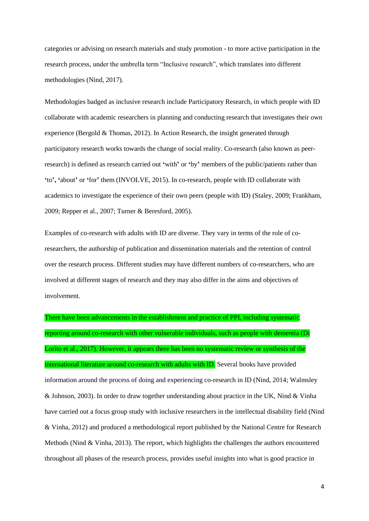categories or advising on research materials and study promotion - to more active participation in the research process, under the umbrella term "Inclusive research", which translates into different methodologies (Nind, 2017).

Methodologies badged as inclusive research include Participatory Research, in which people with ID collaborate with academic researchers in planning and conducting research that investigates their own experience (Bergold  $&$  Thomas, 2012). In Action Research, the insight generated through participatory research works towards the change of social reality. Co-research (also known as peerresearch) is defined as research carried out **'**with**'** or **'**by**'** members of the public/patients rather than **'**to**', '**about**'** or **'**for**'** them (INVOLVE, 2015). In co-research, people with ID collaborate with academics to investigate the experience of their own peers (people with ID) (Staley, 2009; Frankham, 2009; Repper et al., 2007; Turner & Beresford, 2005).

Examples of co-research with adults with ID are diverse. They vary in terms of the role of coresearchers, the authorship of publication and dissemination materials and the retention of control over the research process. Different studies may have different numbers of co-researchers, who are involved at different stages of research and they may also differ in the aims and objectives of involvement.

There have been advancements in the establishment and practice of PPI, including systematic reporting around co-research with other vulnerable individuals, such as people with dementia (Di Lorito et al., 2017). However, it appears there has been no systematic review or synthesis of the international literature around co-research with adults with ID. Several books have provided information around the process of doing and experiencing co-research in ID (Nind, 2014; Walmsley & Johnson, 2003). In order to draw together understanding about practice in the UK, Nind & Vinha have carried out a focus group study with inclusive researchers in the intellectual disability field (Nind & Vinha, 2012) and produced a methodological report published by the National Centre for Research Methods (Nind & Vinha, 2013). The report, which highlights the challenges the authors encountered throughout all phases of the research process, provides useful insights into what is good practice in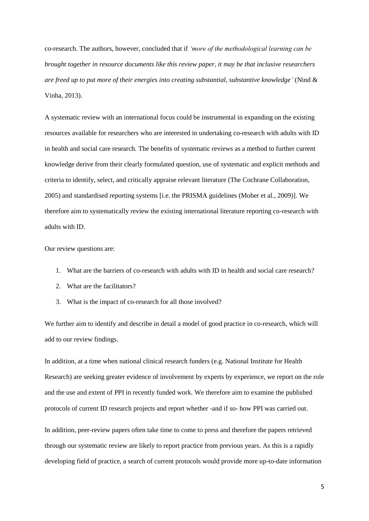co-research. The authors, however, concluded that if *'more of the methodological learning can be brought together in resource documents like this review paper, it may be that inclusive researchers are freed up to put more of their energies into creating substantial, substantive knowledge'* (Nind & Vinha, 2013).

A systematic review with an international focus could be instrumental in expanding on the existing resources available for researchers who are interested in undertaking co-research with adults with ID in health and social care research. The benefits of systematic reviews as a method to further current knowledge derive from their clearly formulated question, use of systematic and explicit methods and criteria to identify, select, and critically appraise relevant literature (The Cochrane Collaboration, 2005) and standardised reporting systems [i.e. the PRISMA guidelines (Moher et al., 2009)]. We therefore aim to systematically review the existing international literature reporting co-research with adults with ID.

Our review questions are:

- 1. What are the barriers of co-research with adults with ID in health and social care research?
- 2. What are the facilitators?
- 3. What is the impact of co-research for all those involved?

We further aim to identify and describe in detail a model of good practice in co-research, which will add to our review findings.

In addition, at a time when national clinical research funders (e.g. National Institute for Health Research) are seeking greater evidence of involvement by experts by experience, we report on the role and the use and extent of PPI in recently funded work. We therefore aim to examine the published protocols of current ID research projects and report whether -and if so- how PPI was carried out.

In addition, peer-review papers often take time to come to press and therefore the papers retrieved through our systematic review are likely to report practice from previous years. As this is a rapidly developing field of practice, a search of current protocols would provide more up-to-date information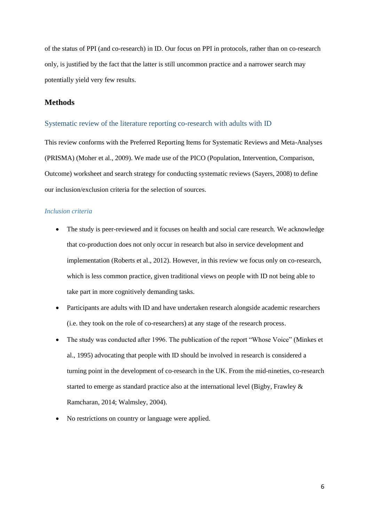of the status of PPI (and co-research) in ID. Our focus on PPI in protocols, rather than on co-research only, is justified by the fact that the latter is still uncommon practice and a narrower search may potentially yield very few results.

## **Methods**

## Systematic review of the literature reporting co-research with adults with ID

This review conforms with the Preferred Reporting Items for Systematic Reviews and Meta-Analyses (PRISMA) (Moher et al., 2009). We made use of the PICO (Population, Intervention, Comparison, Outcome) worksheet and search strategy for conducting systematic reviews (Sayers, 2008) to define our inclusion/exclusion criteria for the selection of sources.

### *Inclusion criteria*

- The study is peer-reviewed and it focuses on health and social care research. We acknowledge that co-production does not only occur in research but also in service development and implementation (Roberts et al., 2012). However, in this review we focus only on co-research, which is less common practice, given traditional views on people with ID not being able to take part in more cognitively demanding tasks.
- Participants are adults with ID and have undertaken research alongside academic researchers (i.e. they took on the role of co-researchers) at any stage of the research process.
- The study was conducted after 1996. The publication of the report "Whose Voice" (Minkes et al., 1995) advocating that people with ID should be involved in research is considered a turning point in the development of co-research in the UK. From the mid-nineties, co-research started to emerge as standard practice also at the international level (Bigby, Frawley & Ramcharan, 2014; Walmsley, 2004).
- No restrictions on country or language were applied.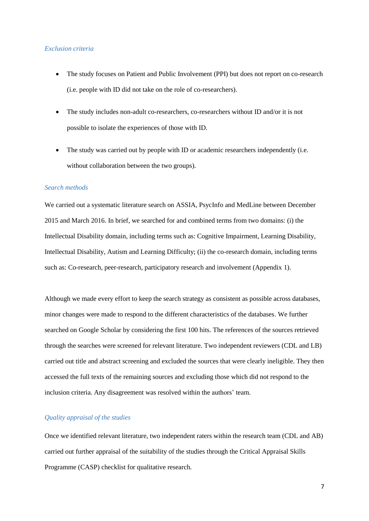### *Exclusion criteria*

- The study focuses on Patient and Public Involvement (PPI) but does not report on co-research (i.e. people with ID did not take on the role of co-researchers).
- The study includes non-adult co-researchers, co-researchers without ID and/or it is not possible to isolate the experiences of those with ID.
- The study was carried out by people with ID or academic researchers independently (i.e. without collaboration between the two groups).

## *Search methods*

We carried out a systematic literature search on ASSIA, PsycInfo and MedLine between December 2015 and March 2016. In brief, we searched for and combined terms from two domains: (i) the Intellectual Disability domain, including terms such as: Cognitive Impairment, Learning Disability, Intellectual Disability, Autism and Learning Difficulty; (ii) the co-research domain, including terms such as: Co-research, peer-research, participatory research and involvement (Appendix 1).

Although we made every effort to keep the search strategy as consistent as possible across databases, minor changes were made to respond to the different characteristics of the databases. We further searched on Google Scholar by considering the first 100 hits. The references of the sources retrieved through the searches were screened for relevant literature. Two independent reviewers (CDL and LB) carried out title and abstract screening and excluded the sources that were clearly ineligible. They then accessed the full texts of the remaining sources and excluding those which did not respond to the inclusion criteria. Any disagreement was resolved within the authors' team.

## *Quality appraisal of the studies*

Once we identified relevant literature, two independent raters within the research team (CDL and AB) carried out further appraisal of the suitability of the studies through the Critical Appraisal Skills Programme (CASP) checklist for qualitative research.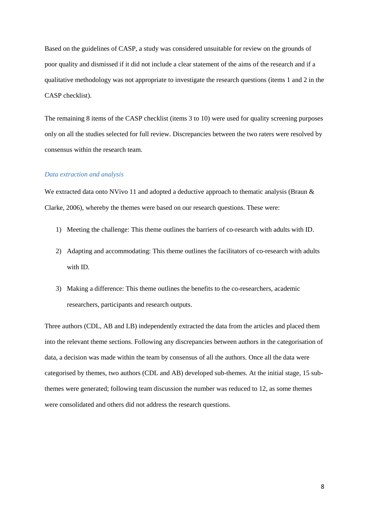Based on the guidelines of CASP, a study was considered unsuitable for review on the grounds of poor quality and dismissed if it did not include a clear statement of the aims of the research and if a qualitative methodology was not appropriate to investigate the research questions (items 1 and 2 in the CASP checklist).

The remaining 8 items of the CASP checklist (items 3 to 10) were used for quality screening purposes only on all the studies selected for full review. Discrepancies between the two raters were resolved by consensus within the research team.

## *Data extraction and analysis*

We extracted data onto NVivo 11 and adopted a deductive approach to thematic analysis (Braun & Clarke, 2006), whereby the themes were based on our research questions. These were:

- 1) Meeting the challenge: This theme outlines the barriers of co-research with adults with ID.
- 2) Adapting and accommodating: This theme outlines the facilitators of co-research with adults with ID.
- 3) Making a difference: This theme outlines the benefits to the co-researchers, academic researchers, participants and research outputs.

Three authors (CDL, AB and LB) independently extracted the data from the articles and placed them into the relevant theme sections. Following any discrepancies between authors in the categorisation of data, a decision was made within the team by consensus of all the authors. Once all the data were categorised by themes, two authors (CDL and AB) developed sub-themes. At the initial stage, 15 subthemes were generated; following team discussion the number was reduced to 12, as some themes were consolidated and others did not address the research questions.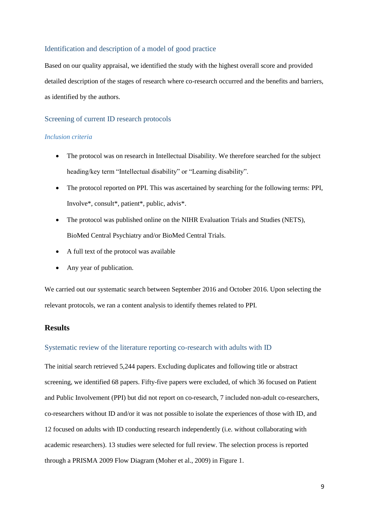## Identification and description of a model of good practice

Based on our quality appraisal, we identified the study with the highest overall score and provided detailed description of the stages of research where co-research occurred and the benefits and barriers, as identified by the authors.

# Screening of current ID research protocols

### *Inclusion criteria*

- The protocol was on research in Intellectual Disability. We therefore searched for the subject heading/key term "Intellectual disability" or "Learning disability".
- The protocol reported on PPI. This was ascertained by searching for the following terms: PPI, Involve\*, consult\*, patient\*, public, advis\*.
- The protocol was published online on the NIHR Evaluation Trials and Studies (NETS), BioMed Central Psychiatry and/or BioMed Central Trials.
- A full text of the protocol was available
- Any year of publication.

We carried out our systematic search between September 2016 and October 2016. Upon selecting the relevant protocols, we ran a content analysis to identify themes related to PPI.

# **Results**

## Systematic review of the literature reporting co-research with adults with ID

The initial search retrieved 5,244 papers. Excluding duplicates and following title or abstract screening, we identified 68 papers. Fifty-five papers were excluded, of which 36 focused on Patient and Public Involvement (PPI) but did not report on co-research, 7 included non-adult co-researchers, co-researchers without ID and/or it was not possible to isolate the experiences of those with ID, and 12 focused on adults with ID conducting research independently (i.e. without collaborating with academic researchers). 13 studies were selected for full review. The selection process is reported through a PRISMA 2009 Flow Diagram (Moher et al., 2009) in Figure 1.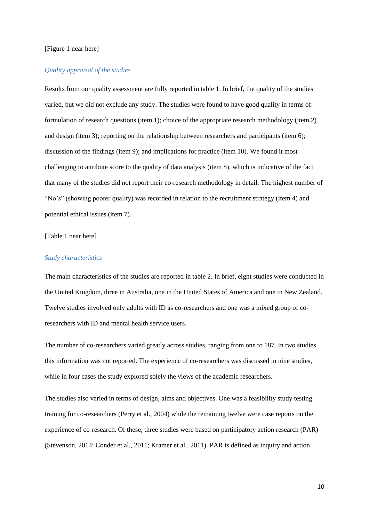## [Figure 1 near here]

#### *Quality appraisal of the studies*

Results from our quality assessment are fully reported in table 1. In brief, the quality of the studies varied, but we did not exclude any study. The studies were found to have good quality in terms of: formulation of research questions (item 1); choice of the appropriate research methodology (item 2) and design (item 3); reporting on the relationship between researchers and participants (item 6); discussion of the findings (item 9); and implications for practice (item 10). We found it most challenging to attribute score to the quality of data analysis (item 8), which is indicative of the fact that many of the studies did not report their co-research methodology in detail. The highest number of "No's" (showing poorer quality) was recorded in relation to the recruitment strategy (item 4) and potential ethical issues (item 7).

### [Table 1 near here]

### *Study characteristics*

The main characteristics of the studies are reported in table 2. In brief, eight studies were conducted in the United Kingdom, three in Australia, one in the United States of America and one in New Zealand. Twelve studies involved only adults with ID as co-researchers and one was a mixed group of coresearchers with ID and mental health service users.

The number of co-researchers varied greatly across studies, ranging from one to 187. In two studies this information was not reported. The experience of co-researchers was discussed in nine studies, while in four cases the study explored solely the views of the academic researchers.

The studies also varied in terms of design, aims and objectives. One was a feasibility study testing training for co-researchers (Perry et al., 2004) while the remaining twelve were case reports on the experience of co-research. Of these, three studies were based on participatory action research (PAR) (Stevenson, 2014; Conder et al., 2011; Kramer et al., 2011). PAR is defined as inquiry and action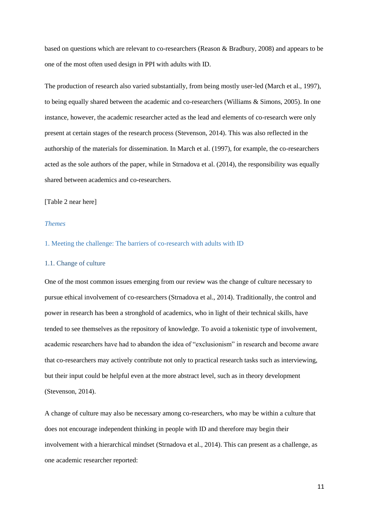based on questions which are relevant to co-researchers (Reason & Bradbury, 2008) and appears to be one of the most often used design in PPI with adults with ID.

The production of research also varied substantially, from being mostly user-led (March et al., 1997), to being equally shared between the academic and co-researchers (Williams & Simons, 2005). In one instance, however, the academic researcher acted as the lead and elements of co-research were only present at certain stages of the research process (Stevenson, 2014). This was also reflected in the authorship of the materials for dissemination. In March et al. (1997), for example, the co-researchers acted as the sole authors of the paper, while in Strnadova et al. (2014), the responsibility was equally shared between academics and co-researchers.

## [Table 2 near here]

### *Themes*

### 1. Meeting the challenge: The barriers of co-research with adults with ID

### 1.1. Change of culture

One of the most common issues emerging from our review was the change of culture necessary to pursue ethical involvement of co-researchers (Strnadova et al., 2014). Traditionally, the control and power in research has been a stronghold of academics, who in light of their technical skills, have tended to see themselves as the repository of knowledge. To avoid a tokenistic type of involvement, academic researchers have had to abandon the idea of "exclusionism" in research and become aware that co-researchers may actively contribute not only to practical research tasks such as interviewing, but their input could be helpful even at the more abstract level, such as in theory development (Stevenson, 2014).

A change of culture may also be necessary among co-researchers, who may be within a culture that does not encourage independent thinking in people with ID and therefore may begin their involvement with a hierarchical mindset (Strnadova et al., 2014). This can present as a challenge, as one academic researcher reported: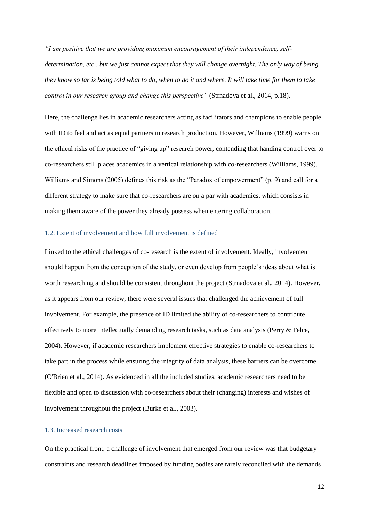*"I am positive that we are providing maximum encouragement of their independence, selfdetermination, etc., but we just cannot expect that they will change overnight. The only way of being they know so far is being told what to do, when to do it and where. It will take time for them to take control in our research group and change this perspective"* (Strnadova et al., 2014, p.18).

Here, the challenge lies in academic researchers acting as facilitators and champions to enable people with ID to feel and act as equal partners in research production. However, Williams (1999) warns on the ethical risks of the practice of "giving up" research power, contending that handing control over to co-researchers still places academics in a vertical relationship with co-researchers (Williams, 1999). Williams and Simons (2005) defines this risk as the "Paradox of empowerment" (p. 9) and call for a different strategy to make sure that co-researchers are on a par with academics, which consists in making them aware of the power they already possess when entering collaboration.

## 1.2. Extent of involvement and how full involvement is defined

Linked to the ethical challenges of co-research is the extent of involvement. Ideally, involvement should happen from the conception of the study, or even develop from people's ideas about what is worth researching and should be consistent throughout the project (Strnadova et al., 2014). However, as it appears from our review, there were several issues that challenged the achievement of full involvement. For example, the presence of ID limited the ability of co-researchers to contribute effectively to more intellectually demanding research tasks, such as data analysis (Perry & Felce, 2004). However, if academic researchers implement effective strategies to enable co-researchers to take part in the process while ensuring the integrity of data analysis, these barriers can be overcome (O'Brien et al., 2014). As evidenced in all the included studies, academic researchers need to be flexible and open to discussion with co-researchers about their (changing) interests and wishes of involvement throughout the project (Burke et al., 2003).

## 1.3. Increased research costs

On the practical front, a challenge of involvement that emerged from our review was that budgetary constraints and research deadlines imposed by funding bodies are rarely reconciled with the demands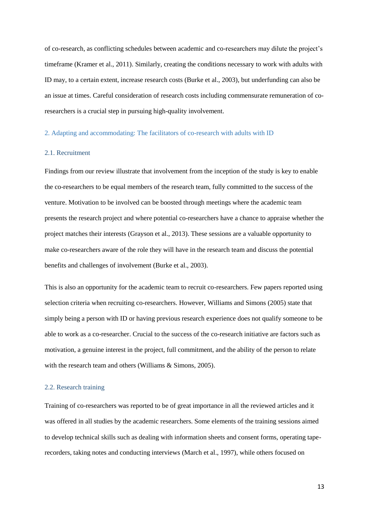of co-research, as conflicting schedules between academic and co-researchers may dilute the project's timeframe (Kramer et al., 2011). Similarly, creating the conditions necessary to work with adults with ID may, to a certain extent, increase research costs (Burke et al., 2003), but underfunding can also be an issue at times. Careful consideration of research costs including commensurate remuneration of coresearchers is a crucial step in pursuing high-quality involvement.

## 2. Adapting and accommodating: The facilitators of co-research with adults with ID

### 2.1. Recruitment

Findings from our review illustrate that involvement from the inception of the study is key to enable the co-researchers to be equal members of the research team, fully committed to the success of the venture. Motivation to be involved can be boosted through meetings where the academic team presents the research project and where potential co-researchers have a chance to appraise whether the project matches their interests (Grayson et al., 2013). These sessions are a valuable opportunity to make co-researchers aware of the role they will have in the research team and discuss the potential benefits and challenges of involvement (Burke et al., 2003).

This is also an opportunity for the academic team to recruit co-researchers. Few papers reported using selection criteria when recruiting co-researchers. However, Williams and Simons (2005) state that simply being a person with ID or having previous research experience does not qualify someone to be able to work as a co-researcher. Crucial to the success of the co-research initiative are factors such as motivation, a genuine interest in the project, full commitment, and the ability of the person to relate with the research team and others (Williams & Simons, 2005).

#### 2.2. Research training

Training of co-researchers was reported to be of great importance in all the reviewed articles and it was offered in all studies by the academic researchers. Some elements of the training sessions aimed to develop technical skills such as dealing with information sheets and consent forms, operating taperecorders, taking notes and conducting interviews (March et al., 1997), while others focused on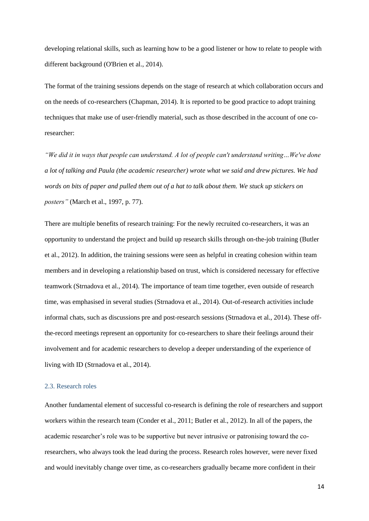developing relational skills, such as learning how to be a good listener or how to relate to people with different background (O'Brien et al., 2014).

The format of the training sessions depends on the stage of research at which collaboration occurs and on the needs of co-researchers (Chapman, 2014). It is reported to be good practice to adopt training techniques that make use of user-friendly material, such as those described in the account of one coresearcher:

*"We did it in ways that people can understand. A lot of people can't understand writing…We've done a lot of talking and Paula (the academic researcher) wrote what we said and drew pictures. We had words on bits of paper and pulled them out of a hat to talk about them. We stuck up stickers on posters"* (March et al., 1997, p. 77).

There are multiple benefits of research training: For the newly recruited co-researchers, it was an opportunity to understand the project and build up research skills through on-the-job training (Butler et al., 2012). In addition, the training sessions were seen as helpful in creating cohesion within team members and in developing a relationship based on trust, which is considered necessary for effective teamwork (Strnadova et al., 2014). The importance of team time together, even outside of research time, was emphasised in several studies (Strnadova et al., 2014). Out-of-research activities include informal chats, such as discussions pre and post-research sessions (Strnadova et al., 2014). These offthe-record meetings represent an opportunity for co-researchers to share their feelings around their involvement and for academic researchers to develop a deeper understanding of the experience of living with ID (Strnadova et al., 2014).

#### 2.3. Research roles

Another fundamental element of successful co-research is defining the role of researchers and support workers within the research team (Conder et al., 2011; Butler et al., 2012). In all of the papers, the academic researcher's role was to be supportive but never intrusive or patronising toward the coresearchers, who always took the lead during the process. Research roles however, were never fixed and would inevitably change over time, as co-researchers gradually became more confident in their

14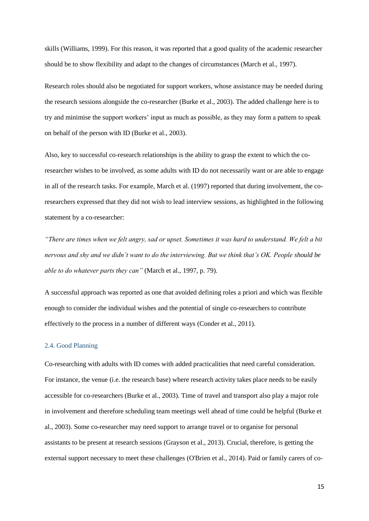skills (Williams, 1999). For this reason, it was reported that a good quality of the academic researcher should be to show flexibility and adapt to the changes of circumstances (March et al., 1997).

Research roles should also be negotiated for support workers, whose assistance may be needed during the research sessions alongside the co-researcher (Burke et al., 2003). The added challenge here is to try and minimise the support workers' input as much as possible, as they may form a pattern to speak on behalf of the person with ID (Burke et al., 2003).

Also, key to successful co-research relationships is the ability to grasp the extent to which the coresearcher wishes to be involved, as some adults with ID do not necessarily want or are able to engage in all of the research tasks. For example, March et al. (1997) reported that during involvement, the coresearchers expressed that they did not wish to lead interview sessions, as highlighted in the following statement by a co-researcher:

*"There are times when we felt angry, sad or upset. Sometimes it was hard to understand. We felt a bit nervous and shy and we didn't want to do the interviewing. But we think that's OK. People should be able to do whatever parts they can"* (March et al., 1997, p. 79).

A successful approach was reported as one that avoided defining roles a priori and which was flexible enough to consider the individual wishes and the potential of single co-researchers to contribute effectively to the process in a number of different ways (Conder et al., 2011).

## 2.4. Good Planning

Co-researching with adults with ID comes with added practicalities that need careful consideration. For instance, the venue (i.e. the research base) where research activity takes place needs to be easily accessible for co-researchers (Burke et al., 2003). Time of travel and transport also play a major role in involvement and therefore scheduling team meetings well ahead of time could be helpful (Burke et al., 2003). Some co-researcher may need support to arrange travel or to organise for personal assistants to be present at research sessions (Grayson et al., 2013). Crucial, therefore, is getting the external support necessary to meet these challenges (O'Brien et al., 2014). Paid or family carers of co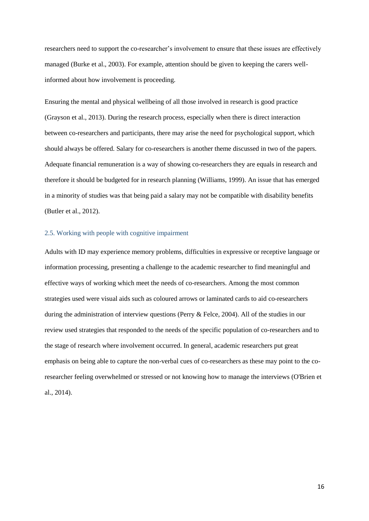researchers need to support the co-researcher's involvement to ensure that these issues are effectively managed (Burke et al., 2003). For example, attention should be given to keeping the carers wellinformed about how involvement is proceeding.

Ensuring the mental and physical wellbeing of all those involved in research is good practice (Grayson et al., 2013). During the research process, especially when there is direct interaction between co-researchers and participants, there may arise the need for psychological support, which should always be offered. Salary for co-researchers is another theme discussed in two of the papers. Adequate financial remuneration is a way of showing co-researchers they are equals in research and therefore it should be budgeted for in research planning (Williams, 1999). An issue that has emerged in a minority of studies was that being paid a salary may not be compatible with disability benefits (Butler et al., 2012).

## 2.5. Working with people with cognitive impairment

Adults with ID may experience memory problems, difficulties in expressive or receptive language or information processing, presenting a challenge to the academic researcher to find meaningful and effective ways of working which meet the needs of co-researchers. Among the most common strategies used were visual aids such as coloured arrows or laminated cards to aid co-researchers during the administration of interview questions (Perry & Felce, 2004). All of the studies in our review used strategies that responded to the needs of the specific population of co-researchers and to the stage of research where involvement occurred. In general, academic researchers put great emphasis on being able to capture the non-verbal cues of co-researchers as these may point to the coresearcher feeling overwhelmed or stressed or not knowing how to manage the interviews (O'Brien et al., 2014).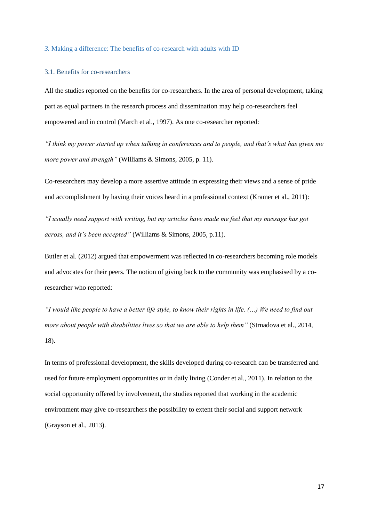#### *3.* Making a difference: The benefits of co-research with adults with ID

## 3.1. Benefits for co-researchers

All the studies reported on the benefits for co-researchers. In the area of personal development, taking part as equal partners in the research process and dissemination may help co-researchers feel empowered and in control (March et al., 1997). As one co-researcher reported:

*"I think my power started up when talking in conferences and to people, and that's what has given me more power and strength"* (Williams & Simons, 2005, p. 11).

Co-researchers may develop a more assertive attitude in expressing their views and a sense of pride and accomplishment by having their voices heard in a professional context (Kramer et al., 2011):

*"I usually need support with writing, but my articles have made me feel that my message has got across, and it's been accepted"* (Williams & Simons, 2005, p.11).

Butler et al. (2012) argued that empowerment was reflected in co-researchers becoming role models and advocates for their peers. The notion of giving back to the community was emphasised by a coresearcher who reported:

*"I would like people to have a better life style, to know their rights in life. (…) We need to find out more about people with disabilities lives so that we are able to help them"* (Strnadova et al., 2014, 18).

In terms of professional development, the skills developed during co-research can be transferred and used for future employment opportunities or in daily living (Conder et al., 2011). In relation to the social opportunity offered by involvement, the studies reported that working in the academic environment may give co-researchers the possibility to extent their social and support network (Grayson et al., 2013).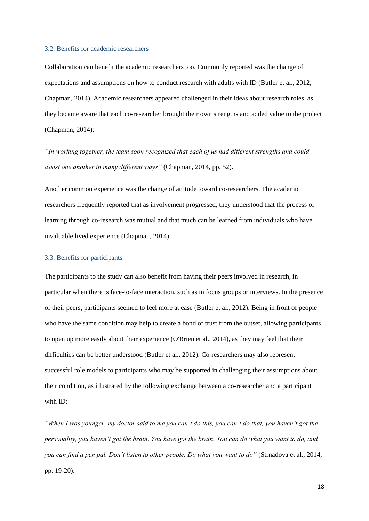#### 3.2. Benefits for academic researchers

Collaboration can benefit the academic researchers too. Commonly reported was the change of expectations and assumptions on how to conduct research with adults with ID (Butler et al., 2012; Chapman, 2014). Academic researchers appeared challenged in their ideas about research roles, as they became aware that each co-researcher brought their own strengths and added value to the project (Chapman, 2014):

*"In working together, the team soon recognized that each of us had different strengths and could assist one another in many different ways"* (Chapman, 2014, pp. 52).

Another common experience was the change of attitude toward co-researchers. The academic researchers frequently reported that as involvement progressed, they understood that the process of learning through co-research was mutual and that much can be learned from individuals who have invaluable lived experience (Chapman, 2014).

## 3.3. Benefits for participants

The participants to the study can also benefit from having their peers involved in research, in particular when there is face-to-face interaction, such as in focus groups or interviews. In the presence of their peers, participants seemed to feel more at ease (Butler et al., 2012). Being in front of people who have the same condition may help to create a bond of trust from the outset, allowing participants to open up more easily about their experience (O'Brien et al., 2014), as they may feel that their difficulties can be better understood (Butler et al., 2012). Co-researchers may also represent successful role models to participants who may be supported in challenging their assumptions about their condition, as illustrated by the following exchange between a co-researcher and a participant with ID:

*"When I was younger, my doctor said to me you can't do this, you can't do that, you haven't got the personality, you haven't got the brain. You have got the brain. You can do what you want to do, and you can find a pen pal. Don't listen to other people. Do what you want to do"* (Strnadova et al., 2014, pp. 19-20).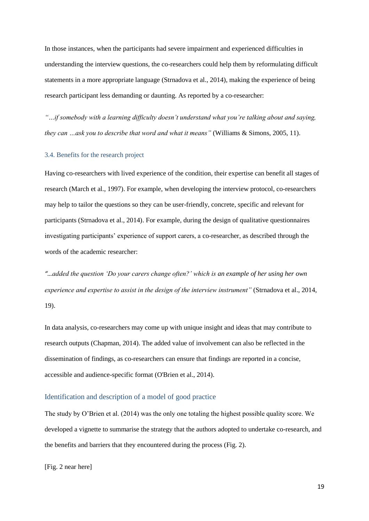In those instances, when the participants had severe impairment and experienced difficulties in understanding the interview questions, the co-researchers could help them by reformulating difficult statements in a more appropriate language (Strnadova et al., 2014), making the experience of being research participant less demanding or daunting. As reported by a co-researcher:

*"…if somebody with a learning difficulty doesn't understand what you're talking about and saying, they can …ask you to describe that word and what it means"* (Williams & Simons, 2005, 11).

## 3.4. Benefits for the research project

Having co-researchers with lived experience of the condition, their expertise can benefit all stages of research (March et al., 1997). For example, when developing the interview protocol, co-researchers may help to tailor the questions so they can be user-friendly, concrete, specific and relevant for participants (Strnadova et al., 2014). For example, during the design of qualitative questionnaires investigating participants' experience of support carers, a co-researcher, as described through the words of the academic researcher:

*"…added the question 'Do your carers change often?' which is an example of her using her own experience and expertise to assist in the design of the interview instrument"* (Strnadova et al., 2014, 19).

In data analysis, co-researchers may come up with unique insight and ideas that may contribute to research outputs (Chapman, 2014). The added value of involvement can also be reflected in the dissemination of findings, as co-researchers can ensure that findings are reported in a concise, accessible and audience-specific format (O'Brien et al., 2014).

# Identification and description of a model of good practice

The study by O'Brien et al. (2014) was the only one totaling the highest possible quality score. We developed a vignette to summarise the strategy that the authors adopted to undertake co-research, and the benefits and barriers that they encountered during the process (Fig. 2).

[Fig. 2 near here]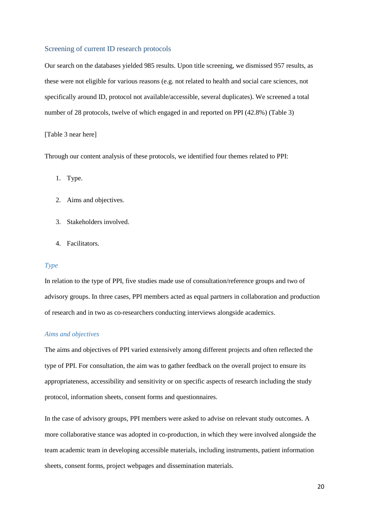### Screening of current ID research protocols

Our search on the databases yielded 985 results. Upon title screening, we dismissed 957 results, as these were not eligible for various reasons (e.g. not related to health and social care sciences, not specifically around ID, protocol not available/accessible, several duplicates). We screened a total number of 28 protocols, twelve of which engaged in and reported on PPI (42.8%) (Table 3)

### [Table 3 near here]

Through our content analysis of these protocols, we identified four themes related to PPI:

- 1. Type.
- 2. Aims and objectives.
- 3. Stakeholders involved.
- 4. Facilitators.

### *Type*

In relation to the type of PPI, five studies made use of consultation/reference groups and two of advisory groups. In three cases, PPI members acted as equal partners in collaboration and production of research and in two as co-researchers conducting interviews alongside academics.

## *Aims and objectives*

The aims and objectives of PPI varied extensively among different projects and often reflected the type of PPI. For consultation, the aim was to gather feedback on the overall project to ensure its appropriateness, accessibility and sensitivity or on specific aspects of research including the study protocol, information sheets, consent forms and questionnaires.

In the case of advisory groups, PPI members were asked to advise on relevant study outcomes. A more collaborative stance was adopted in co-production, in which they were involved alongside the team academic team in developing accessible materials, including instruments, patient information sheets, consent forms, project webpages and dissemination materials.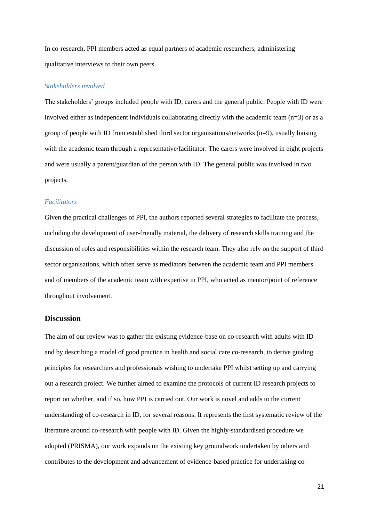In co-research, PPI members acted as equal partners of academic researchers, administering qualitative interviews to their own peers.

## *Stakeholders involved*

The stakeholders' groups included people with ID, carers and the general public. People with ID were involved either as independent individuals collaborating directly with the academic team (n=3) or as a group of people with ID from established third sector organisations/networks  $(n=9)$ , usually liaising with the academic team through a representative/facilitator. The carers were involved in eight projects and were usually a parent/guardian of the person with ID. The general public was involved in two projects.

## *Facilitators*

Given the practical challenges of PPI, the authors reported several strategies to facilitate the process, including the development of user-friendly material, the delivery of research skills training and the discussion of roles and responsibilities within the research team. They also rely on the support of third sector organisations, which often serve as mediators between the academic team and PPI members and of members of the academic team with expertise in PPI, who acted as mentor/point of reference throughout involvement.

# **Discussion**

The aim of our review was to gather the existing evidence-base on co-research with adults with ID and by describing a model of good practice in health and social care co-research, to derive guiding principles for researchers and professionals wishing to undertake PPI whilst setting up and carrying out a research project. We further aimed to examine the protocols of current ID research projects to report on whether, and if so, how PPI is carried out. Our work is novel and adds to the current understanding of co-research in ID, for several reasons. It represents the first systematic review of the literature around co-research with people with ID. Given the highly-standardised procedure we adopted (PRISMA), our work expands on the existing key groundwork undertaken by others and contributes to the development and advancement of evidence-based practice for undertaking co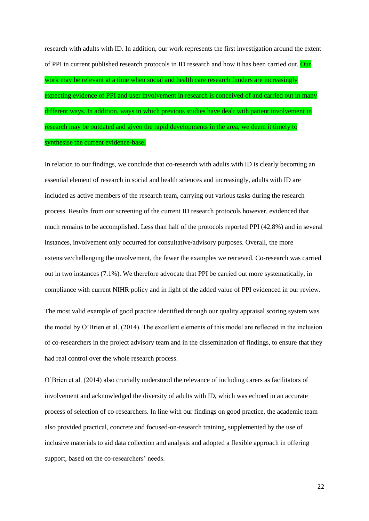research with adults with ID. In addition, our work represents the first investigation around the extent of PPI in current published research protocols in ID research and how it has been carried out. Our work may be relevant at a time when social and health care research funders are increasingly expecting evidence of PPI and user involvement in research is conceived of and carried out in many different ways. In addition, ways in which previous studies have dealt with patient involvement in research may be outdated and given the rapid developments in the area, we deem it timely to synthesise the current evidence-base.

In relation to our findings, we conclude that co-research with adults with ID is clearly becoming an essential element of research in social and health sciences and increasingly, adults with ID are included as active members of the research team, carrying out various tasks during the research process. Results from our screening of the current ID research protocols however, evidenced that much remains to be accomplished. Less than half of the protocols reported PPI (42.8%) and in several instances, involvement only occurred for consultative/advisory purposes. Overall, the more extensive/challenging the involvement, the fewer the examples we retrieved. Co-research was carried out in two instances (7.1%). We therefore advocate that PPI be carried out more systematically, in compliance with current NIHR policy and in light of the added value of PPI evidenced in our review.

The most valid example of good practice identified through our quality appraisal scoring system was the model by O'Brien et al. (2014). The excellent elements of this model are reflected in the inclusion of co-researchers in the project advisory team and in the dissemination of findings, to ensure that they had real control over the whole research process.

O'Brien et al. (2014) also crucially understood the relevance of including carers as facilitators of involvement and acknowledged the diversity of adults with ID, which was echoed in an accurate process of selection of co-researchers. In line with our findings on good practice, the academic team also provided practical, concrete and focused-on-research training, supplemented by the use of inclusive materials to aid data collection and analysis and adopted a flexible approach in offering support, based on the co-researchers' needs.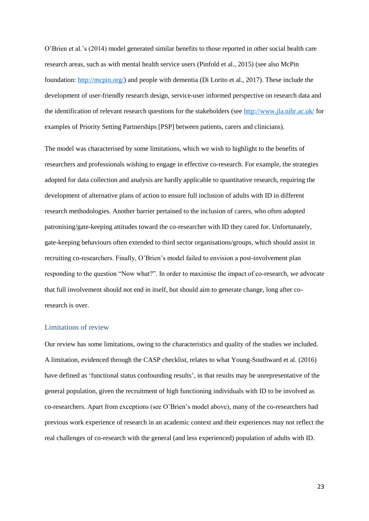O'Brien et al.'s (2014) model generated similar benefits to those reported in other social health care research areas, such as with mental health service users (Pinfold et al., 2015) (see also McPin foundation: [http://mcpin.org/\)](http://mcpin.org/) and people with dementia (Di Lorito et al., 2017). These include the development of user-friendly research design, service-user informed perspective on research data and the identification of relevant research questions for the stakeholders (see<http://www.jla.nihr.ac.uk/> for examples of Priority Setting Partnerships [PSP] between patients, carers and clinicians).

The model was characterised by some limitations, which we wish to highlight to the benefits of researchers and professionals wishing to engage in effective co-research. For example, the strategies adopted for data collection and analysis are hardly applicable to quantitative research, requiring the development of alternative plans of action to ensure full inclusion of adults with ID in different research methodologies. Another barrier pertained to the inclusion of carers, who often adopted patronising/gate-keeping attitudes toward the co-researcher with ID they cared for. Unfortunately, gate-keeping behaviours often extended to third sector organisations/groups, which should assist in recruiting co-researchers. Finally, O'Brien's model failed to envision a post-involvement plan responding to the question "Now what?". In order to maximise the impact of co-research, we advocate that full involvement should not end in itself, but should aim to generate change, long after coresearch is over.

#### Limitations of review

Our review has some limitations, owing to the characteristics and quality of the studies we included. A limitation, evidenced through the CASP checklist, relates to what Young-Southward et al. (2016) have defined as 'functional status confounding results', in that results may be unrepresentative of the general population, given the recruitment of high functioning individuals with ID to be involved as co-researchers. Apart from exceptions (see O'Brien's model above), many of the co-researchers had previous work experience of research in an academic context and their experiences may not reflect the real challenges of co-research with the general (and less experienced) population of adults with ID.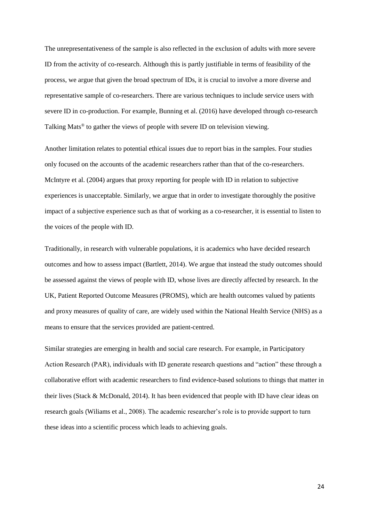The unrepresentativeness of the sample is also reflected in the exclusion of adults with more severe ID from the activity of co-research. Although this is partly justifiable in terms of feasibility of the process, we argue that given the broad spectrum of IDs, it is crucial to involve a more diverse and representative sample of co-researchers. There are various techniques to include service users with severe ID in co-production. For example, Bunning et al. (2016) have developed through co-research Talking Mats® to gather the views of people with severe ID on television viewing.

Another limitation relates to potential ethical issues due to report bias in the samples. Four studies only focused on the accounts of the academic researchers rather than that of the co-researchers. McIntyre et al. (2004) argues that proxy reporting for people with ID in relation to subjective experiences is unacceptable. Similarly, we argue that in order to investigate thoroughly the positive impact of a subjective experience such as that of working as a co-researcher, it is essential to listen to the voices of the people with ID.

Traditionally, in research with vulnerable populations, it is academics who have decided research outcomes and how to assess impact (Bartlett, 2014). We argue that instead the study outcomes should be assessed against the views of people with ID, whose lives are directly affected by research. In the UK, Patient Reported Outcome Measures (PROMS), which are health outcomes valued by patients and proxy measures of quality of care, are widely used within the National Health Service (NHS) as a means to ensure that the services provided are patient-centred.

Similar strategies are emerging in health and social care research. For example, in Participatory Action Research (PAR), individuals with ID generate research questions and "action" these through a collaborative effort with academic researchers to find evidence-based solutions to things that matter in their lives (Stack & McDonald, 2014). It has been evidenced that people with ID have clear ideas on research goals (Wiliams et al., 2008). The academic researcher's role is to provide support to turn these ideas into a scientific process which leads to achieving goals.

24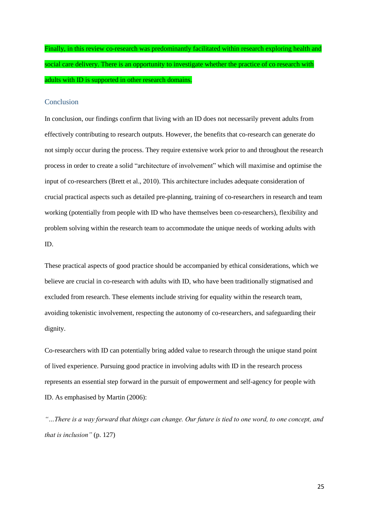Finally, in this review co-research was predominantly facilitated within research exploring health and social care delivery. There is an opportunity to investigate whether the practice of co research with adults with ID is supported in other research domains.

## Conclusion

In conclusion, our findings confirm that living with an ID does not necessarily prevent adults from effectively contributing to research outputs. However, the benefits that co-research can generate do not simply occur during the process. They require extensive work prior to and throughout the research process in order to create a solid "architecture of involvement" which will maximise and optimise the input of co-researchers (Brett et al., 2010). This architecture includes adequate consideration of crucial practical aspects such as detailed pre-planning, training of co-researchers in research and team working (potentially from people with ID who have themselves been co-researchers), flexibility and problem solving within the research team to accommodate the unique needs of working adults with ID.

These practical aspects of good practice should be accompanied by ethical considerations, which we believe are crucial in co-research with adults with ID, who have been traditionally stigmatised and excluded from research. These elements include striving for equality within the research team, avoiding tokenistic involvement, respecting the autonomy of co-researchers, and safeguarding their dignity.

Co-researchers with ID can potentially bring added value to research through the unique stand point of lived experience. Pursuing good practice in involving adults with ID in the research process represents an essential step forward in the pursuit of empowerment and self-agency for people with ID. As emphasised by Martin (2006):

*"…There is a way forward that things can change. Our future is tied to one word, to one concept, and that is inclusion"* (p. 127)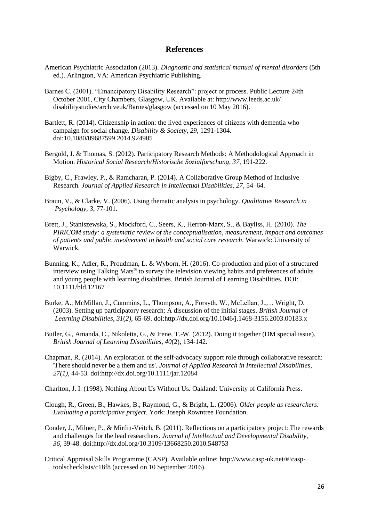# **References**

- American Psychiatric Association (2013). *Diagnostic and statistical manual of mental disorders* (5th ed.). Arlington, VA: American Psychiatric Publishing.
- Barnes C. (2001). "Emancipatory Disability Research": project or process. Public Lecture 24th October 2001, City Chambers, Glasgow, UK. Available at: http://www.leeds.ac.uk/ disabilitystudies/archiveuk/Barnes/glasgow (accessed on 10 May 2016).
- Bartlett, R. (2014). Citizenship in action: the lived experiences of citizens with dementia who campaign for social change. *Disability & Society, 29*, 1291-1304. doi:10.1080/09687599.2014.924905
- Bergold, J. & Thomas, S. (2012). Participatory Research Methods: A Methodological Approach in Motion. *[Historical Social Research/Historische Sozialforschung,](https://www.researchgate.net/journal/0172-6404_Historical_Social_Research_Historische_Sozialforschung) 37*, 191-222.
- Bigby, C., Frawley, P., & Ramcharan, P. (2014). A Collaborative Group Method of Inclusive Research. *Journal of Applied Research in Intellectual Disabilities, 27*, 54–64.
- Braun, V., & Clarke, V. (2006). Using thematic analysis in psychology. *Qualitative Research in Psychology, 3*, 77-101.
- Brett, J., Staniszewska, S., Mockford, C., Seers, K., Herron-Marx, S., & Bayliss, H. (2010). *The PIRICOM study: a systematic review of the conceptualisation, measurement, impact and outcomes of patients and public involvement in health and social care research*. Warwick: University of Warwick.
- Bunning, K., Adler, R., Proudman, L. & Wyborn, H. (2016). Co-production and pilot of a structured interview using Talking Mats® to survey the television viewing habits and preferences of adults and young people with learning disabilities. British Journal of Learning Disabilities. DOI: 10.1111/bld.12167
- Burke, A., McMillan, J., Cummins, L., Thompson, A., Forsyth, W., McLellan, J.,… Wright, D. (2003). Setting up participatory research: A discussion of the initial stages. *British Journal of Learning Disabilities, 31*(*2),* 65-69. doi:http://dx.doi.org/10.1046/j.1468-3156.2003.00183.x
- Butler, G., Amanda, C., Nikoletta, G., & Irene, T.-W. (2012). Doing it together (DM special issue). *British Journal of Learning Disabilities, 40*(2), 134-142.
- Chapman, R. (2014). An exploration of the self-advocacy support role through collaborative research: 'There should never be a them and us'. *Journal of Applied Research in Intellectual Disabilities, 27(1),* 44-53. doi:http://dx.doi.org/10.1111/jar.12084

Charlton, J. I. (1998). [Nothing About Us Without Us](http://books.google.com/books?id=ohqff8DBt9gC&lpg=PA3&pg=PA3#v=onepage&q&f=false)*.* Oakland: University of California Press.

- Clough, R., Green, B., Hawkes, B., Raymond, G., & Bright, L. (2006). *Older people as researchers: Evaluating a participative project.* York: Joseph Rowntree Foundation.
- Conder, J., Milner, P., & Mirfin-Veitch, B. (2011). Reflections on a participatory project: The rewards and challenges for the lead researchers. *Journal of Intellectual and Developmental Disability, 36,* 39-48. doi:http://dx.doi.org/10.3109/13668250.2010.548753
- Critical Appraisal Skills Programme (CASP). Available online: [http://www.casp-uk.net/#!casp](http://www.casp-uk.net/#!casp-) toolschecklists/c18f8 (accessed on 10 September 2016).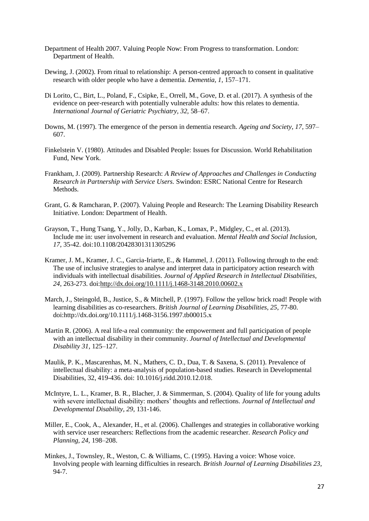- Department of Health 2007. Valuing People Now: From Progress to transformation. London: Department of Health.
- Dewing, J. (2002). From ritual to relationship: A person-centred approach to consent in qualitative research with older people who have a dementia. *Dementia, 1,* 157–171.
- Di Lorito, C., Birt, L., Poland, F., Csipke, E., Orrell, M., Gove, D. et al. (2017). A synthesis of the evidence on peer-research with potentially vulnerable adults: how this relates to dementia. *International Journal of Geriatric Psychiatry, 32,* 58–67.
- Downs, M. (1997). The emergence of the person in dementia research. *Ageing and Society, 17,* 597– 607.
- Finkelstein V. (1980). Attitudes and Disabled People: Issues for Discussion. World Rehabilitation Fund, New York.
- Frankham, J. (2009). Partnership Research: *A Review of Approaches and Challenges in Conducting Research in Partnership with Service Users.* Swindon: ESRC National Centre for Research Methods.
- Grant, G. & Ramcharan, P. (2007). Valuing People and Research: The Learning Disability Research Initiative. London: Department of Health.
- Grayson, T., Hung Tsang, Y., Jolly, D., Karban, K., Lomax, P., Midgley, C., et al. (2013). Include me in: user involvement in research and evaluation. *Mental Health and Social Inclusion, 17*, 35-42. doi:10.1108/20428301311305296
- Kramer, J. M., Kramer, J. C., Garcia-Iriarte, E., & Hammel, J. (2011). Following through to the end: The use of inclusive strategies to analyse and interpret data in participatory action research with individuals with intellectual disabilities. *Journal of Applied Research in Intellectual Disabilities, 24*, 263-273. doi[:http://dx.doi.org/10.1111/j.1468-3148.2010.00602.x](http://dx.doi.org/10.1111/j.1468-3148.2010.00602.x)
- March, J., Steingold, B., Justice, S., & Mitchell, P. (1997). Follow the yellow brick road! People with learning disabilities as co-researchers. *British Journal of Learning Disabilities, 25*, 77-80. doi[:http://dx.doi.org/10.1111/j.1468-3156.1997.tb00015.x](http://dx.doi.org/10.1111/j.1468-3156.1997.tb00015.x)
- Martin R. (2006). A real life-a real community: the empowerment and full participation of people with an intellectual disability in their community. *Journal of Intellectual and Developmental Disability 31,* 125–127.
- [Maulik, P. K.](http://www.ncbi.nlm.nih.gov/pubmed/?term=Maulik%20PK%5BAuthor%5D&cauthor=true&cauthor_uid=21236634), [Mascarenhas, M. N.](http://www.ncbi.nlm.nih.gov/pubmed/?term=Mascarenhas%20MN%5BAuthor%5D&cauthor=true&cauthor_uid=21236634), [Mathers, C. D.](http://www.ncbi.nlm.nih.gov/pubmed/?term=Mathers%20CD%5BAuthor%5D&cauthor=true&cauthor_uid=21236634), [Dua, T.](http://www.ncbi.nlm.nih.gov/pubmed/?term=Dua%20T%5BAuthor%5D&cauthor=true&cauthor_uid=21236634) & [Saxena, S.](http://www.ncbi.nlm.nih.gov/pubmed/?term=Saxena%20S%5BAuthor%5D&cauthor=true&cauthor_uid=21236634) (2011). Prevalence of intellectual disability: a meta-analysis of population-based studies. Research in Developmental Disabilities, 32, 419-436. doi: 10.1016/j.ridd.2010.12.018.
- McIntyre, L. L., Kramer, B. R., Blacher, J. & Simmerman, S. (2004). Quality of life for young adults with severe intellectual disability: mothers' thoughts and reflections. *Journal of Intellectual and Developmental Disability, 29*, 131-146.
- Miller, E., Cook, A., Alexander, H., et al. (2006). Challenges and strategies in collaborative working with service user researchers: Reflections from the academic researcher. *Research Policy and Planning, 24,* 198–208.
- Minkes, J., Townsley, R., Weston, C. & Williams, C. (1995). Having a voice: Whose voice. Involving people with learning difficulties in research. *British Journal of Learning Disabilities 23,* 94-7.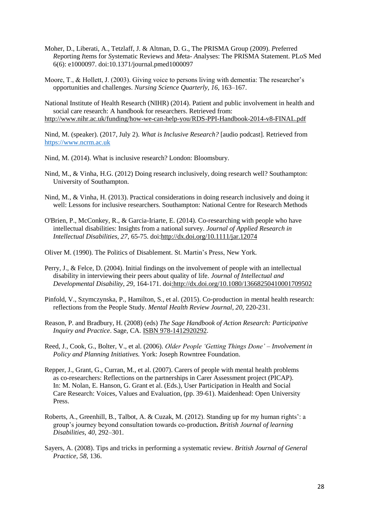- Moher, D., Liberati, A., Tetzlaff, J. & Altman, D. G., The PRISMA Group (2009). *P*referred *R*eporting *I*tems for *S*ystematic Reviews and *M*eta- *A*nalyses: The PRISMA Statement. PLoS Med 6(6): e1000097. doi:10.1371/journal.pmed1000097
- Moore, T., & Hollett, J. (2003). Giving voice to persons living with dementia: The researcher's opportunities and challenges. *Nursing Science Quarterly, 16,* 163–167.

National Institute of Health Research (NIHR) (2014). Patient and public involvement in health and social care research: A handbook for researchers. Retrieved from: <http://www.nihr.ac.uk/funding/how-we-can-help-you/RDS-PPI-Handbook-2014-v8-FINAL.pdf>

Nind, M. (speaker). (2017, July 2). *What is Inclusive Research?* [audio podcast]. Retrieved from [https://www.ncrm.ac.uk](https://www.ncrm.ac.uk/)

Nind, M. (2014). What is inclusive research? London: Bloomsbury.

- Nind, M., & Vinha, H.G. (2012) Doing research inclusively, doing research well? Southampton: University of Southampton.
- Nind, M., & Vinha, H. (2013). Practical considerations in doing research inclusively and doing it well: Lessons for inclusive researchers. Southampton: National Centre for Research Methods
- O'Brien, P., McConkey, R., & Garcia-Iriarte, E. (2014). Co-researching with people who have intellectual disabilities: Insights from a national survey. *Journal of Applied Research in Intellectual Disabilities, 27*, 65-75. doi[:http://dx.doi.org/10.1111/jar.12074](http://dx.doi.org/10.1111/jar.12074)

Oliver M. (1990). The Politics of Disablement. St. Martin's Press, New York.

- Perry, J., & Felce, D. (2004). Initial findings on the involvement of people with an intellectual disability in interviewing their peers about quality of life. *Journal of Intellectual and Developmental Disability, 29*, 164-171. doi[:http://dx.doi.org/10.1080/13668250410001709502](http://dx.doi.org/10.1080/13668250410001709502)
- Pinfold, V., Szymczynska, P., Hamilton, S., et al. (2015). Co-production in mental health research: reflections from the People Study. *Mental Health Review Journal*, *20*, 220-231.
- Reason, P. and Bradbury, H. (2008) (eds) *The Sage Handbook of Action Research: Participative Inquiry and Practice*. Sage, CA. [ISBN 978-1412920292.](https://en.wikipedia.org/wiki/Special:BookSources/9781412920292)
- Reed, J., Cook, G., Bolter, V., et al. (2006). *Older People 'Getting Things Done' – Involvement in Policy and Planning Initiatives.* York: Joseph Rowntree Foundation.
- Repper, J., Grant, G., Curran, M., et al. (2007). Carers of people with mental health problems as co-researchers: Reflections on the partnerships in Carer Assessment project (PICAP). In: M. Nolan, E. Hanson, G. Grant et al. (Eds.), User Participation in Health and Social Care Research: Voices, Values and Evaluation, (pp. 39-61). Maidenhead: Open University Press.
- Roberts, A., Greenhill, B., Talbot, A. & Cuzak, M. (2012). Standing up for my human rights': a group's journey beyond consultation towards co-production**.** *British Journal of learning Disabilities, 40*, 292–301.
- Sayers, A. (2008). Tips and tricks in performing a systematic review. *British Journal of General Practice, 58,* 136.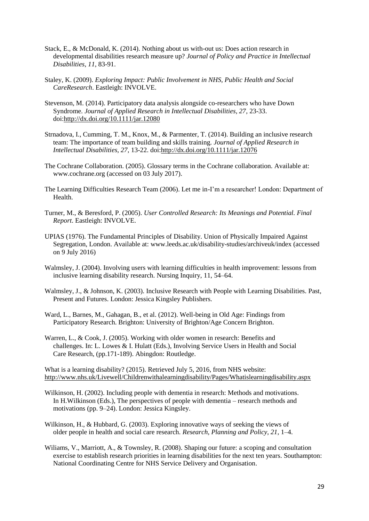- Stack, E., & McDonald, K. (2014). Nothing about us with-out us: Does action research in developmental disabilities research measure up? *Journal of Policy and Practice in Intellectual Disabilities*, *11*, 83-91.
- Staley, K. (2009). *Exploring Impact: Public Involvement in NHS, Public Health and Social CareResearch*. Eastleigh: INVOLVE.
- Stevenson, M. (2014). Participatory data analysis alongside co-researchers who have Down Syndrome. *Journal of Applied Research in Intellectual Disabilities, 27*, 23-33. doi[:http://dx.doi.org/10.1111/jar.12080](http://dx.doi.org/10.1111/jar.12080)
- Strnadova, I., Cumming, T. M., Knox, M., & Parmenter, T. (2014). Building an inclusive research team: The importance of team building and skills training. *Journal of Applied Research in Intellectual Disabilities, 27*, 13-22. doi[:http://dx.doi.org/10.1111/jar.12076](http://dx.doi.org/10.1111/jar.12076)
- The Cochrane Collaboration. (2005). Glossary terms in the Cochrane collaboration. Available at: www.cochrane.org (accessed on 03 July 2017).
- The Learning Difficulties Research Team (2006). Let me in-I'm a researcher! London: Department of Health.
- Turner, M., & Beresford, P. (2005). *User Controlled Research: Its Meanings and Potential. Final Report*. Eastleigh: INVOLVE.
- UPIAS (1976). The Fundamental Principles of Disability. Union of Physically Impaired Against Segregation, London. Available at: www.leeds.ac.uk/disability-studies/archiveuk/index (accessed on 9 July 2016)
- Walmsley, J. (2004). Involving users with learning difficulties in health improvement: lessons from inclusive learning disability research. Nursing Inquiry, 11, 54–64.
- Walmsley, J., & Johnson, K. (2003). Inclusive Research with People with Learning Disabilities. Past, Present and Futures. London: Jessica Kingsley Publishers.
- Ward, L., Barnes, M., Gahagan, B., et al. (2012). Well-being in Old Age: Findings from Participatory Research. Brighton: University of Brighton/Age Concern Brighton.
- Warren, L., & Cook, J. (2005). Working with older women in research: Benefits and challenges. In: L. Lowes & I. Hulatt (Eds.), Involving Service Users in Health and Social Care Research, (pp.171-189). Abingdon: Routledge.

What is a learning disability? (2015). Retrieved July 5, 2016, from NHS website: <http://www.nhs.uk/Livewell/Childrenwithalearningdisability/Pages/Whatislearningdisability.aspx>

- Wilkinson, H. (2002). Including people with dementia in research: Methods and motivations. In H.Wilkinson (Eds.), The perspectives of people with dementia – research methods and motivations (pp. 9–24). London: Jessica Kingsley.
- Wilkinson, H., & Hubbard, G. (2003). Exploring innovative ways of seeking the views of older people in health and social care research. *Research, Planning and Policy, 21,* 1–4.
- Wiliams, V., Marriott, A., & Townsley, R. (2008). Shaping our future: a scoping and consultation exercise to establish research priorities in learning disabilities for the next ten years. Southampton: National Coordinating Centre for NHS Service Delivery and Organisation.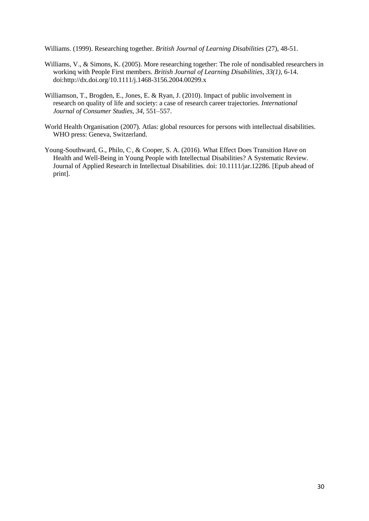Williams. (1999). Researching together. *British Journal of Learning Disabilities* (27), 48-51.

- Williams, V., & Simons, K. (2005). More researching together: The role of nondisabled researchers in workinq with People First members. *British Journal of Learning Disabilities, 33(1),* 6-14. doi:http://dx.doi.org/10.1111/j.1468-3156.2004.00299.x
- Williamson, T., Brogden, E., Jones, E. & Ryan, J. (2010). Impact of public involvement in research on quality of life and society: a case of research career trajectories. *International Journal of Consumer Studies, 34,* 551–557.
- World Health Organisation (2007). Atlas: global resources for persons with intellectual disabilities. WHO press: Geneva, Switzerland.
- [Young-Southward, G.](http://www.ncbi.nlm.nih.gov/pubmed/?term=Young-Southward%20G%5BAuthor%5D&cauthor=true&cauthor_uid=27554952), [Philo, C](http://www.ncbi.nlm.nih.gov/pubmed/?term=Philo%20C%5BAuthor%5D&cauthor=true&cauthor_uid=27554952)., [& Cooper, S. A.](http://www.ncbi.nlm.nih.gov/pubmed/?term=Cooper%20SA%5BAuthor%5D&cauthor=true&cauthor_uid=27554952) (2016). What Effect Does Transition Have on Health and Well-Being in Young People with Intellectual Disabilities? A Systematic Review. Journal of [Applied Research in Intellectual Disabilities.](http://www.ncbi.nlm.nih.gov/pubmed/27554952) doi: 10.1111/jar.12286. [Epub ahead of print].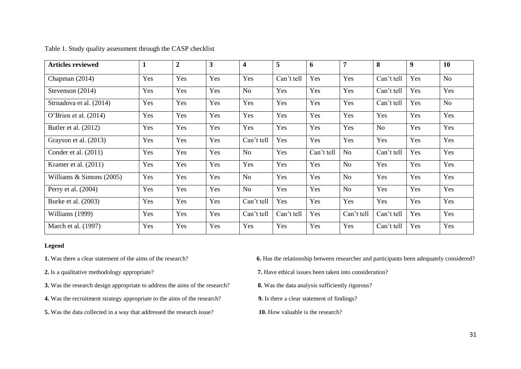| <b>Articles reviewed</b> | 1   | $\overline{2}$ | 3   | 4              | 5          | 6          | 7              | 8              | 9   | 10             |
|--------------------------|-----|----------------|-----|----------------|------------|------------|----------------|----------------|-----|----------------|
| Chapman (2014)           | Yes | Yes            | Yes | Yes            | Can't tell | Yes        | Yes            | Can't tell     | Yes | N <sub>o</sub> |
| Stevenson (2014)         | Yes | Yes            | Yes | No             | Yes        | Yes        | Yes            | Can't tell     | Yes | Yes            |
| Strnadova et al. (2014)  | Yes | Yes            | Yes | Yes            | Yes        | Yes        | Yes            | Can't tell     | Yes | No             |
| O'Brien et al. $(2014)$  | Yes | Yes            | Yes | Yes            | Yes        | Yes        | Yes            | Yes            | Yes | Yes            |
| Butler et al. $(2012)$   | Yes | Yes            | Yes | Yes            | Yes        | Yes        | Yes            | N <sub>o</sub> | Yes | Yes            |
| Grayson et al. (2013)    | Yes | Yes            | Yes | Can't tell     | Yes        | Yes        | Yes            | Yes            | Yes | Yes            |
| Conder et al. $(2011)$   | Yes | Yes            | Yes | No             | Yes        | Can't tell | No             | Can't tell     | Yes | Yes            |
| Kramer et al. $(2011)$   | Yes | Yes            | Yes | Yes            | Yes        | Yes        | N <sub>o</sub> | Yes            | Yes | Yes            |
| Williams & Simons (2005) | Yes | Yes            | Yes | No             | Yes        | Yes        | N <sub>o</sub> | Yes            | Yes | Yes            |
| Perry et al. (2004)      | Yes | Yes            | Yes | N <sub>o</sub> | Yes        | Yes        | N <sub>o</sub> | Yes            | Yes | Yes            |
| Burke et al. (2003)      | Yes | Yes            | Yes | Can't tell     | Yes        | Yes        | Yes            | Yes            | Yes | Yes            |
| Williams (1999)          | Yes | Yes            | Yes | Can't tell     | Can't tell | Yes        | Can't tell     | Can't tell     | Yes | Yes            |
| March et al. (1997)      | Yes | Yes            | Yes | Yes            | Yes        | Yes        | Yes            | Can't tell     | Yes | Yes            |

Table 1. Study quality assessment through the CASP checklist

#### **Legend**

- **3.** Was the research design appropriate to address the aims of the research? **8.** Was the data analysis sufficiently rigorous?
- **4.** Was the recruitment strategy appropriate to the aims of the research? **9.** Is there a clear statement of findings?
- **5.** Was the data collected in a way that addressed the research issue? **10.** How valuable is the research?

**1.** Was there a clear statement of the aims of the research? **6.** Has the relationship between researcher and participants been adequately considered?

**2.** Is a qualitative methodology appropriate? **7.** Have ethical issues been taken into consideration?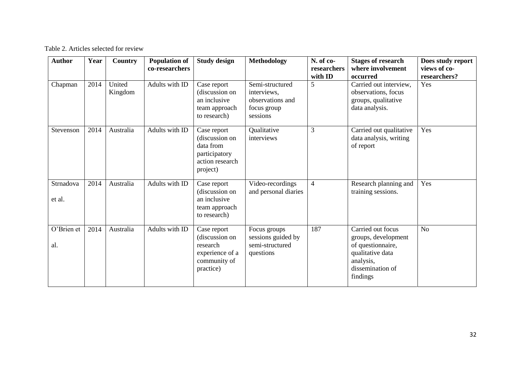# Table 2. Articles selected for review

| <b>Author</b>       | Year | Country           | <b>Population of</b><br>co-researchers | <b>Study design</b>                                                                        | <b>Methodology</b>                                                            | N. of co-<br>researchers<br>with ID | <b>Stages of research</b><br>where involvement<br>occurred                                                                     | Does study report<br>views of co-<br>researchers? |
|---------------------|------|-------------------|----------------------------------------|--------------------------------------------------------------------------------------------|-------------------------------------------------------------------------------|-------------------------------------|--------------------------------------------------------------------------------------------------------------------------------|---------------------------------------------------|
| Chapman             | 2014 | United<br>Kingdom | Adults with ID                         | Case report<br>(discussion on<br>an inclusive<br>team approach<br>to research)             | Semi-structured<br>interviews,<br>observations and<br>focus group<br>sessions | 5                                   | Carried out interview,<br>observations, focus<br>groups, qualitative<br>data analysis.                                         | Yes                                               |
| Stevenson           | 2014 | Australia         | Adults with ID                         | Case report<br>(discussion on<br>data from<br>participatory<br>action research<br>project) | Qualitative<br>interviews                                                     | 3                                   | Carried out qualitative<br>data analysis, writing<br>of report                                                                 | Yes                                               |
| Strnadova<br>et al. | 2014 | Australia         | Adults with ID                         | Case report<br>(discussion on<br>an inclusive<br>team approach<br>to research)             | Video-recordings<br>and personal diaries                                      | $\overline{4}$                      | Research planning and<br>training sessions.                                                                                    | Yes                                               |
| O'Brien et<br>al.   | 2014 | Australia         | Adults with ID                         | Case report<br>(discussion on<br>research<br>experience of a<br>community of<br>practice)  | Focus groups<br>sessions guided by<br>semi-structured<br>questions            | 187                                 | Carried out focus<br>groups, development<br>of questionnaire,<br>qualitative data<br>analysis,<br>dissemination of<br>findings | N <sub>o</sub>                                    |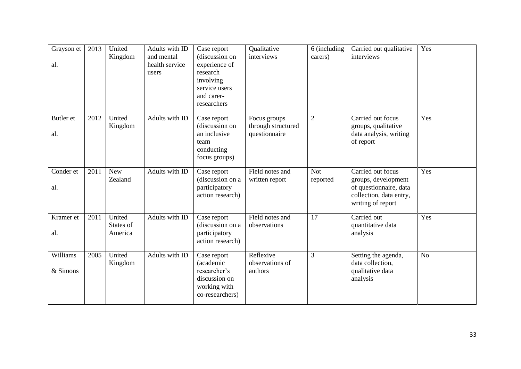| Grayson et<br>al.    | 2013 | United<br>Kingdom              | Adults with ID<br>and mental<br>health service<br>users | Case report<br>(discussion on<br>experience of<br>research<br>involving<br>service users<br>and carer-<br>researchers | Qualitative<br>interviews                           | 6 (including<br>carers) | Carried out qualitative<br>interviews                                                                              | Yes            |
|----------------------|------|--------------------------------|---------------------------------------------------------|-----------------------------------------------------------------------------------------------------------------------|-----------------------------------------------------|-------------------------|--------------------------------------------------------------------------------------------------------------------|----------------|
| Butler et<br>al.     | 2012 | United<br>Kingdom              | Adults with ID                                          | Case report<br>(discussion on<br>an inclusive<br>team<br>conducting<br>focus groups)                                  | Focus groups<br>through structured<br>questionnaire | $\overline{2}$          | Carried out focus<br>groups, qualitative<br>data analysis, writing<br>of report                                    | Yes            |
| Conder et<br>al.     | 2011 | <b>New</b><br>Zealand          | Adults with ID                                          | Case report<br>(discussion on a<br>participatory<br>action research)                                                  | Field notes and<br>written report                   | <b>Not</b><br>reported  | Carried out focus<br>groups, development<br>of questionnaire, data<br>collection, data entry,<br>writing of report | Yes            |
| Kramer et<br>al.     | 2011 | United<br>States of<br>America | Adults with ID                                          | Case report<br>(discussion on a<br>participatory<br>action research)                                                  | Field notes and<br>observations                     | 17                      | Carried out<br>quantitative data<br>analysis                                                                       | Yes            |
| Williams<br>& Simons | 2005 | United<br>Kingdom              | Adults with ID                                          | Case report<br>(academic<br>researcher's<br>discussion on<br>working with<br>co-researchers)                          | Reflexive<br>observations of<br>authors             | 3                       | Setting the agenda,<br>data collection.<br>qualitative data<br>analysis                                            | N <sub>o</sub> |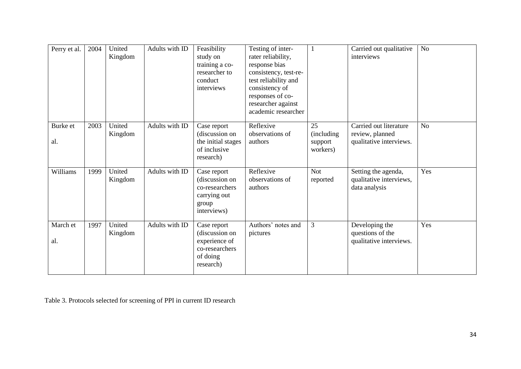| Perry et al.    | 2004 | United<br>Kingdom | Adults with ID | Feasibility<br>study on<br>training a co-<br>researcher to<br>conduct<br>interviews       | Testing of inter-<br>rater reliability,<br>response bias<br>consistency, test-re-<br>test reliability and<br>consistency of<br>responses of co-<br>researcher against<br>academic researcher | $\mathbf{1}$                             | Carried out qualitative<br>interviews                                | No             |
|-----------------|------|-------------------|----------------|-------------------------------------------------------------------------------------------|----------------------------------------------------------------------------------------------------------------------------------------------------------------------------------------------|------------------------------------------|----------------------------------------------------------------------|----------------|
| Burke et<br>al. | 2003 | United<br>Kingdom | Adults with ID | Case report<br>(discussion on<br>the initial stages<br>of inclusive<br>research)          | Reflexive<br>observations of<br>authors                                                                                                                                                      | 25<br>(including)<br>support<br>workers) | Carried out literature<br>review, planned<br>qualitative interviews. | N <sub>o</sub> |
| Williams        | 1999 | United<br>Kingdom | Adults with ID | Case report<br>(discussion on<br>co-researchers<br>carrying out<br>group<br>interviews)   | Reflexive<br>observations of<br>authors                                                                                                                                                      | <b>Not</b><br>reported                   | Setting the agenda,<br>qualitative interviews,<br>data analysis      | Yes            |
| March et<br>al. | 1997 | United<br>Kingdom | Adults with ID | Case report<br>(discussion on<br>experience of<br>co-researchers<br>of doing<br>research) | Authors' notes and<br>pictures                                                                                                                                                               | 3                                        | Developing the<br>questions of the<br>qualitative interviews.        | Yes            |

Table 3. Protocols selected for screening of PPI in current ID research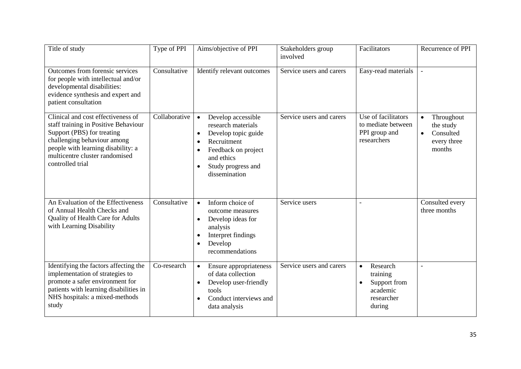| Title of study                                                                                                                                                                                                                      | Type of PPI   | Aims/objective of PPI                                                                                                                                                                                          | Stakeholders group<br>involved | Facilitators                                                                                       | Recurrence of PPI                                                          |
|-------------------------------------------------------------------------------------------------------------------------------------------------------------------------------------------------------------------------------------|---------------|----------------------------------------------------------------------------------------------------------------------------------------------------------------------------------------------------------------|--------------------------------|----------------------------------------------------------------------------------------------------|----------------------------------------------------------------------------|
| Outcomes from forensic services<br>for people with intellectual and/or<br>developmental disabilities:<br>evidence synthesis and expert and<br>patient consultation                                                                  | Consultative  | Identify relevant outcomes                                                                                                                                                                                     | Service users and carers       | Easy-read materials                                                                                | $\overline{\phantom{a}}$                                                   |
| Clinical and cost effectiveness of<br>staff training in Positive Behaviour<br>Support (PBS) for treating<br>challenging behaviour among<br>people with learning disability: a<br>multicentre cluster randomised<br>controlled trial | Collaborative | Develop accessible<br>research materials<br>Develop topic guide<br>$\bullet$<br>Recruitment<br>$\bullet$<br>Feedback on project<br>$\bullet$<br>and ethics<br>Study progress and<br>$\bullet$<br>dissemination | Service users and carers       | Use of facilitators<br>to mediate between<br>PPI group and<br>researchers                          | Throughout<br>the study<br>Consulted<br>$\bullet$<br>every three<br>months |
| An Evaluation of the Effectiveness<br>of Annual Health Checks and<br>Quality of Health Care for Adults<br>with Learning Disability                                                                                                  | Consultative  | Inform choice of<br>$\bullet$<br>outcome measures<br>Develop ideas for<br>$\bullet$<br>analysis<br>Interpret findings<br>$\bullet$<br>Develop<br>$\bullet$<br>recommendations                                  | Service users                  | $\overline{a}$                                                                                     | Consulted every<br>three months                                            |
| Identifying the factors affecting the<br>implementation of strategies to<br>promote a safer environment for<br>patients with learning disabilities in<br>NHS hospitals: a mixed-methods<br>study                                    | Co-research   | Ensure appropriateness<br>$\bullet$<br>of data collection<br>Develop user-friendly<br>$\bullet$<br>tools<br>Conduct interviews and<br>data analysis                                                            | Service users and carers       | Research<br>$\bullet$<br>training<br>Support from<br>$\bullet$<br>academic<br>researcher<br>during |                                                                            |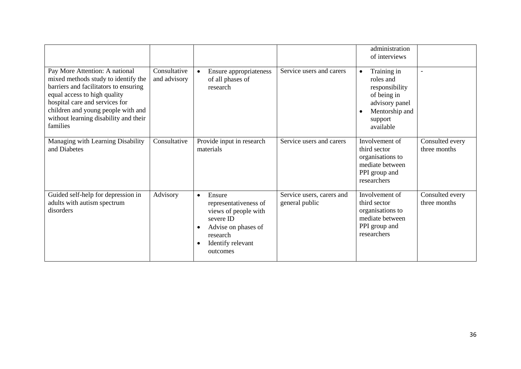|                                                                                                                                                                                                                                                                             |                              |                                                                                                                                                                                 |                                             | administration<br>of interviews                                                                                                    |                                 |
|-----------------------------------------------------------------------------------------------------------------------------------------------------------------------------------------------------------------------------------------------------------------------------|------------------------------|---------------------------------------------------------------------------------------------------------------------------------------------------------------------------------|---------------------------------------------|------------------------------------------------------------------------------------------------------------------------------------|---------------------------------|
| Pay More Attention: A national<br>mixed methods study to identify the<br>barriers and facilitators to ensuring<br>equal access to high quality<br>hospital care and services for<br>children and young people with and<br>without learning disability and their<br>families | Consultative<br>and advisory | Ensure appropriateness<br>of all phases of<br>research                                                                                                                          | Service users and carers                    | Training in<br>$\bullet$<br>roles and<br>responsibility<br>of being in<br>advisory panel<br>Mentorship and<br>support<br>available | $\blacksquare$                  |
| Managing with Learning Disability<br>and Diabetes                                                                                                                                                                                                                           | Consultative                 | Provide input in research<br>materials                                                                                                                                          | Service users and carers                    | Involvement of<br>third sector<br>organisations to<br>mediate between<br>PPI group and<br>researchers                              | Consulted every<br>three months |
| Guided self-help for depression in<br>adults with autism spectrum<br>disorders                                                                                                                                                                                              | Advisory                     | Ensure<br>$\bullet$<br>representativeness of<br>views of people with<br>severe ID<br>Advise on phases of<br>$\bullet$<br>research<br>Identify relevant<br>$\bullet$<br>outcomes | Service users, carers and<br>general public | Involvement of<br>third sector<br>organisations to<br>mediate between<br>PPI group and<br>researchers                              | Consulted every<br>three months |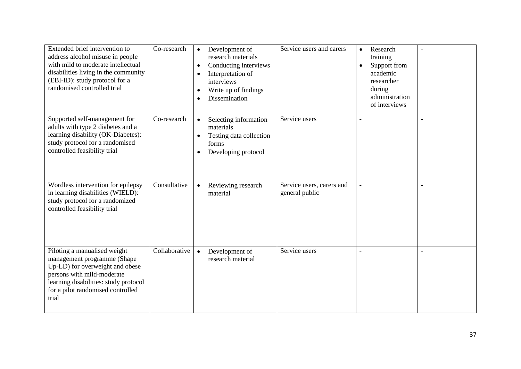| Extended brief intervention to<br>address alcohol misuse in people<br>with mild to moderate intellectual<br>disabilities living in the community<br>(EBI-ID): study protocol for a<br>randomised controlled trial   | Co-research   | Development of<br>$\bullet$<br>research materials<br>Conducting interviews<br>$\bullet$<br>Interpretation of<br>$\bullet$<br>interviews<br>Write up of findings<br>$\bullet$<br>Dissemination<br>$\bullet$ | Service users and carers                    | Research<br>$\bullet$<br>training<br>Support from<br>$\bullet$<br>academic<br>researcher<br>during<br>administration<br>of interviews |  |
|---------------------------------------------------------------------------------------------------------------------------------------------------------------------------------------------------------------------|---------------|------------------------------------------------------------------------------------------------------------------------------------------------------------------------------------------------------------|---------------------------------------------|---------------------------------------------------------------------------------------------------------------------------------------|--|
| Supported self-management for<br>adults with type 2 diabetes and a<br>learning disability (OK-Diabetes):<br>study protocol for a randomised<br>controlled feasibility trial                                         | Co-research   | Selecting information<br>$\bullet$<br>materials<br>Testing data collection<br>$\bullet$<br>forms<br>Developing protocol<br>$\bullet$                                                                       | Service users                               |                                                                                                                                       |  |
| Wordless intervention for epilepsy<br>in learning disabilities (WIELD):<br>study protocol for a randomized<br>controlled feasibility trial                                                                          | Consultative  | Reviewing research<br>$\bullet$<br>material                                                                                                                                                                | Service users, carers and<br>general public | $\blacksquare$                                                                                                                        |  |
| Piloting a manualised weight<br>management programme (Shape<br>Up-LD) for overweight and obese<br>persons with mild-moderate<br>learning disabilities: study protocol<br>for a pilot randomised controlled<br>trial | Collaborative | Development of<br>$\bullet$<br>research material                                                                                                                                                           | Service users                               | $\overline{a}$                                                                                                                        |  |